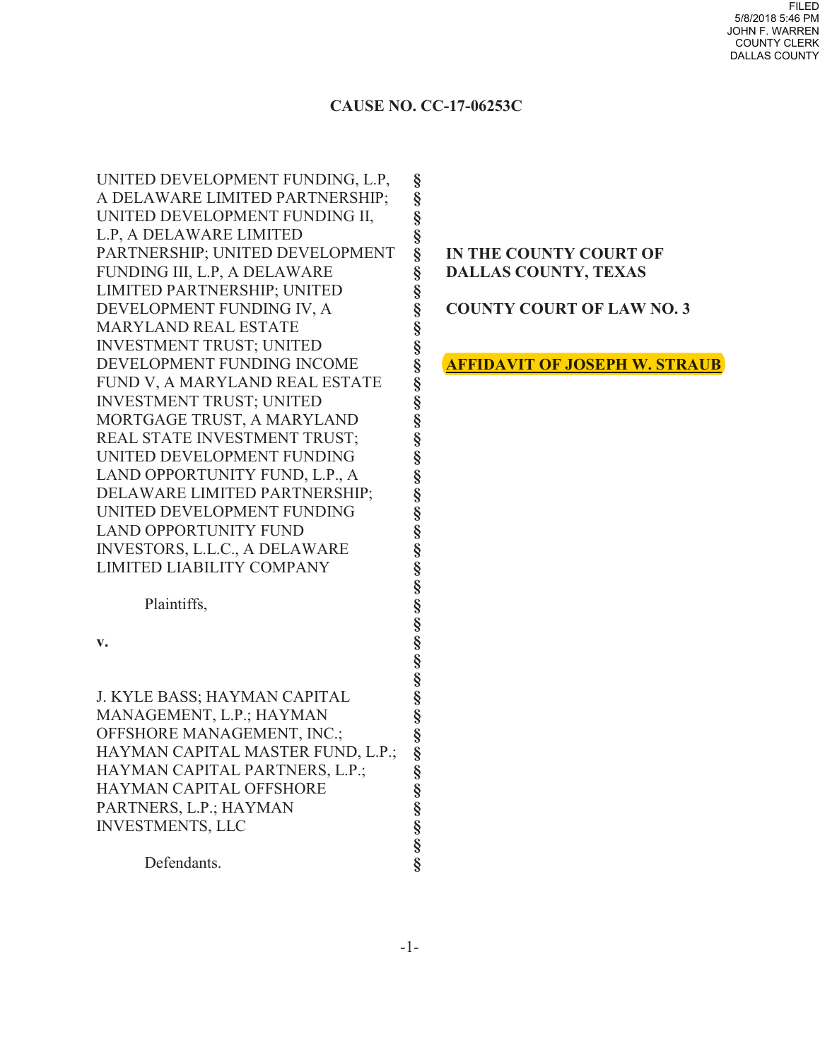FILED 5/8/2018 5:46 PM JOHN F. WARREN COUNTY CLERK DALLAS COUNTY

## **CAUSE NO. CC-17-06253C**

**§ § § § § § § § § § § § § § § § § § § § § § § § § § § § § § § § § § § § § §**

UNITED DEVELOPMENT FUNDING, L.P, A DELAWARE LIMITED PARTNERSHIP; UNITED DEVELOPMENT FUNDING II, L.P, A DELAWARE LIMITED PARTNERSHIP; UNITED DEVELOPMENT FUNDING III, L.P, A DELAWARE LIMITED PARTNERSHIP; UNITED DEVELOPMENT FUNDING IV, A MARYLAND REAL ESTATE INVESTMENT TRUST; UNITED DEVELOPMENT FUNDING INCOME FUND V, A MARYLAND REAL ESTATE INVESTMENT TRUST; UNITED MORTGAGE TRUST, A MARYLAND REAL STATE INVESTMENT TRUST; UNITED DEVELOPMENT FUNDING LAND OPPORTUNITY FUND, L.P., A DELAWARE LIMITED PARTNERSHIP; UNITED DEVELOPMENT FUNDING LAND OPPORTUNITY FUND INVESTORS, L.L.C., A DELAWARE LIMITED LIABILITY COMPANY

Plaintiffs,

**v.**

J. KYLE BASS; HAYMAN CAPITAL MANAGEMENT, L.P.; HAYMAN OFFSHORE MANAGEMENT, INC.; HAYMAN CAPITAL MASTER FUND, L.P.; HAYMAN CAPITAL PARTNERS, L.P.; HAYMAN CAPITAL OFFSHORE PARTNERS, L.P.; HAYMAN INVESTMENTS, LLC

Defendants.

## **IN THE COUNTY COURT OF DALLAS COUNTY, TEXAS**

**COUNTY COURT OF LAW NO. 3**

**AFFIDAVIT OF JOSEPH W. STRAUB**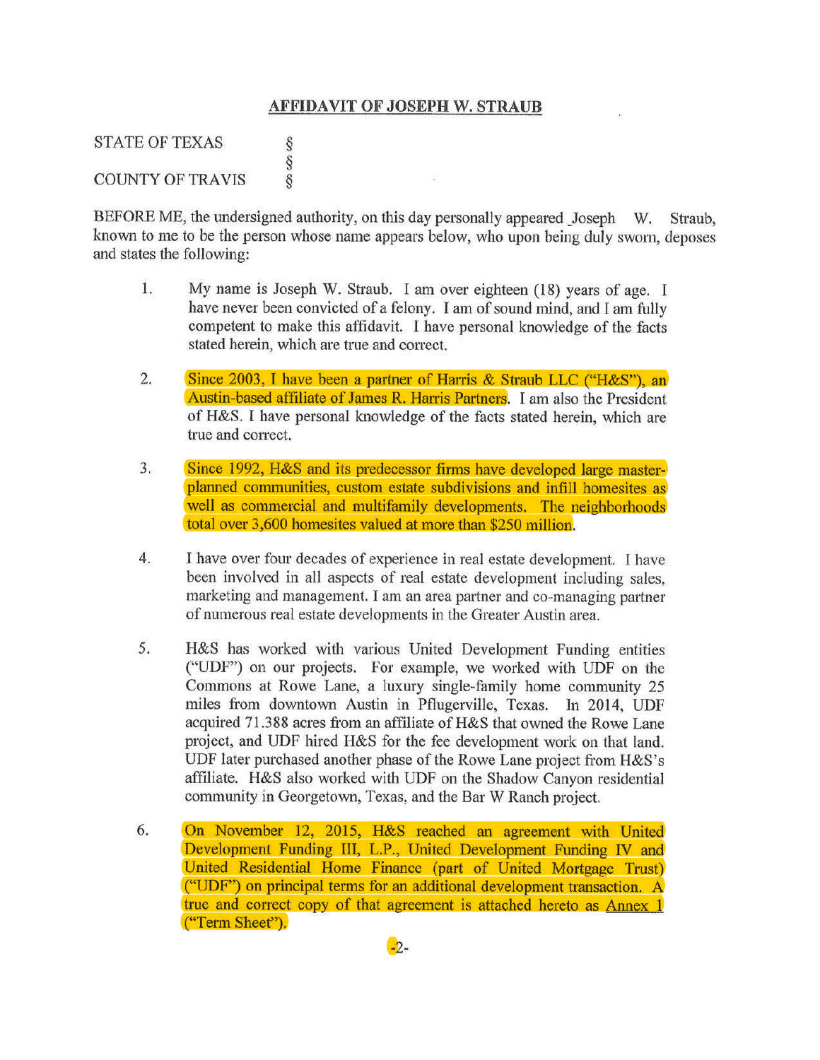## **AFFIDAVIT OF JOSEPH W. STRAUB**

STATE OF TEXAS §<br>§ COUNTY OF TRAVIS

BEFORE ME, the undersigned authority, on this day personally appeared Joseph W. Straub, known to me to be the person whose name appears below, who upon being duly swom, deposes and states the following:

- 1. My name is Joseph W. Straub. I am over eighteen (18) years of age. I have never been convicted of a felony. I am of sound mind, and I am fully competent to make this affidavit. I have personal knowledge of the facts stated herein, which are true and correct.
- 2. Since 2003, I have been a partner of Harris & Straub LLC ("H&S"), an Austin-based affiliate of James R. Harris Partners. I am also the President of H&S. I have personal knowledge of the facts stated herein, which are true and correct.
- 3. Since 1992, H&S and its predecessor firms have developed large masterplanned communities, custom estate subdivisions and infill homesites as well as commercial and multifamily developments. The neighborhoods total over 3,600 homesites valued at more than \$250 million.
- 4. I have over four decades of experience in real estate development. I have been involved in all aspects of real estate development including sales, marketing and management. I am an area partner and co-managing partner of numerous real estate developments in the Greater Austin area.
- 5. H&S has worked with various United Development Funding entities ("UDF") on our projects. For example, we worked with UDF on the Commons at Rowe Lane, a luxury single-family home community 25 miles from downtown Austin in Pflugerville, Texas. In 2014, UDF acquired 71.388 acres from an affiliate of H&S that owned the Rowe Lane project, and UDF hired H&S for the fee development work on that land. UDF later purchased another phase of the Rowe Lane project from H&S's affiliate. H&S also worked with UDF on the Shadow Canyon residential community in Georgetown, Texas, and the Bar W Ranch project.
- 6. On November 12, 2015, H&S reached an agreement with United Development Funding III, L.P., United Development Funding IV and United Residential Home Finance (part of United Mortgage Trust) ("UDF") on principal terms for an additional development transaction. A true and correct copy of that agreement is attached hereto as Annex I ("Term Sheet").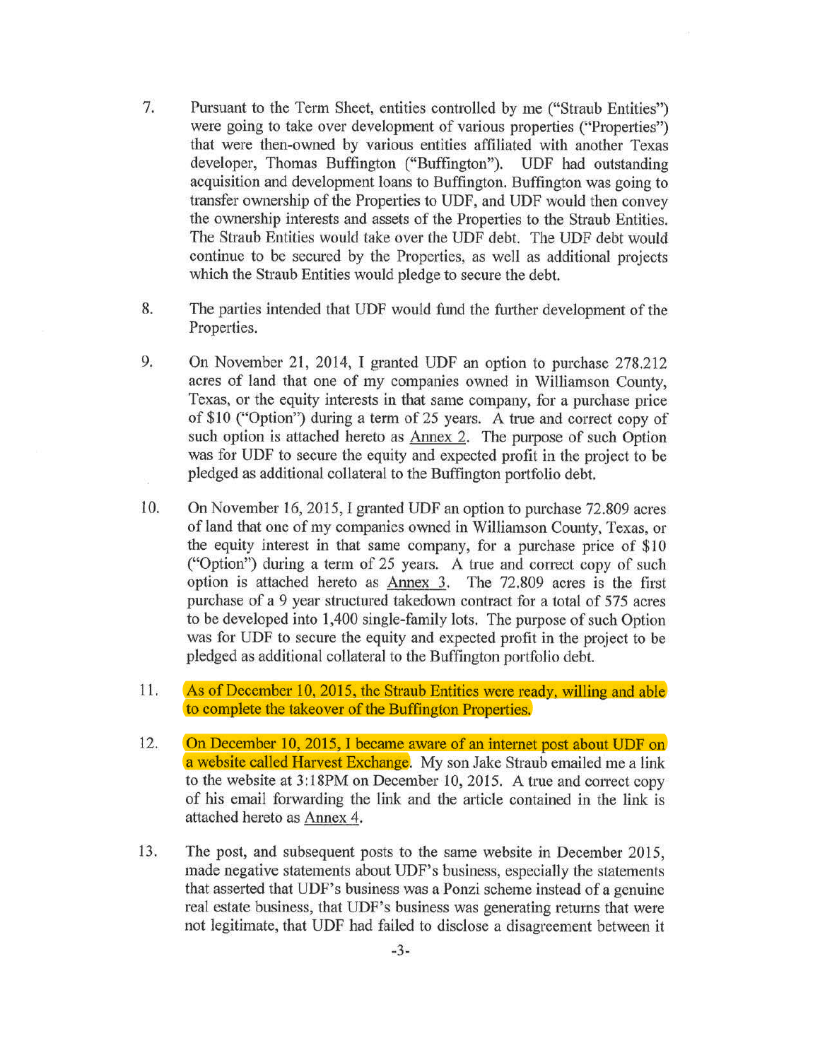- 7. Pursuant to the Term Sheet, entities controlled by me ("Straub Entities") were going to take over development of various properties ("Properties") that were then-owned by various entities affiliated with another Texas developer, Thomas Buffington ("Buffington"). UDF had outstanding acquisition and development loans to Buffington. Buffington was going to transfer ownership of the Properties to UDP, and UDF would then convey the ownership interests and assets of the Properties to the Straub Entities. The Straub Entities would take over the UDF debt. The UDP debt would continue to be secured by the Properties, as well as additional projects which the Straub Entities would pledge to secure the debt.
- 8. The parties intended that UDF would fund the further development of the Properties.
- 9. On November 21, 2014, I granted UDP an option to purchase 278.212 acres of land that one of my companies owned in Williamson County, Texas, or the equity interests in that same company, for a purchase price of \$10 ("Option") during a term of 25 years. A true and correct copy of such option is attached hereto as Annex 2. The purpose of such Option was for UDF to secure the equity and expected profit in the project to be pledged as additional collateral to the Buffington portfolio debt.
- 10. On November 16, 2015, I granted UDF an option to purchase 72.809 acres of land that one of my companies owned in Williamson County, Texas, or the equity interest in that same company, for a purchase price of \$10 ("Option") during a term of 25 years. A true and correct copy of such option is attached hereto as Annex 3. The 72.809 acres is the first purchase of a 9 year structured takedown contract for a total of 575 acres to be developed into 1,400 single-family lots. The purpose of such Option was for UDF to secure the equity and expected profit in the project to be pledged as additional collateral to the Buffington portfolio debt.
- 11. As of December 10, 2015, the Straub Entities were ready, willing and able to complete the takeover of the Buffington Properties.
- 12. On December 10, 2015, I became aware of an internet post about UDF on a website called Harvest Exchange. My son Jake Straub emailed me a link to the website at 3:18PM on December 10, 2015. A true and correct copy of his email forwarding the link and the article contained in the link is attached hereto as Annex 4.
- 13. The post, and subsequent posts to the same website in December 2015, made negative statements about UDF's business, especially the statements that asserted that UDF's business was a Ponzi scheme instead of a genuine real estate business, that UDF's business was generating returns that were not legitimate, that UDF had failed to disclose a disagreement between it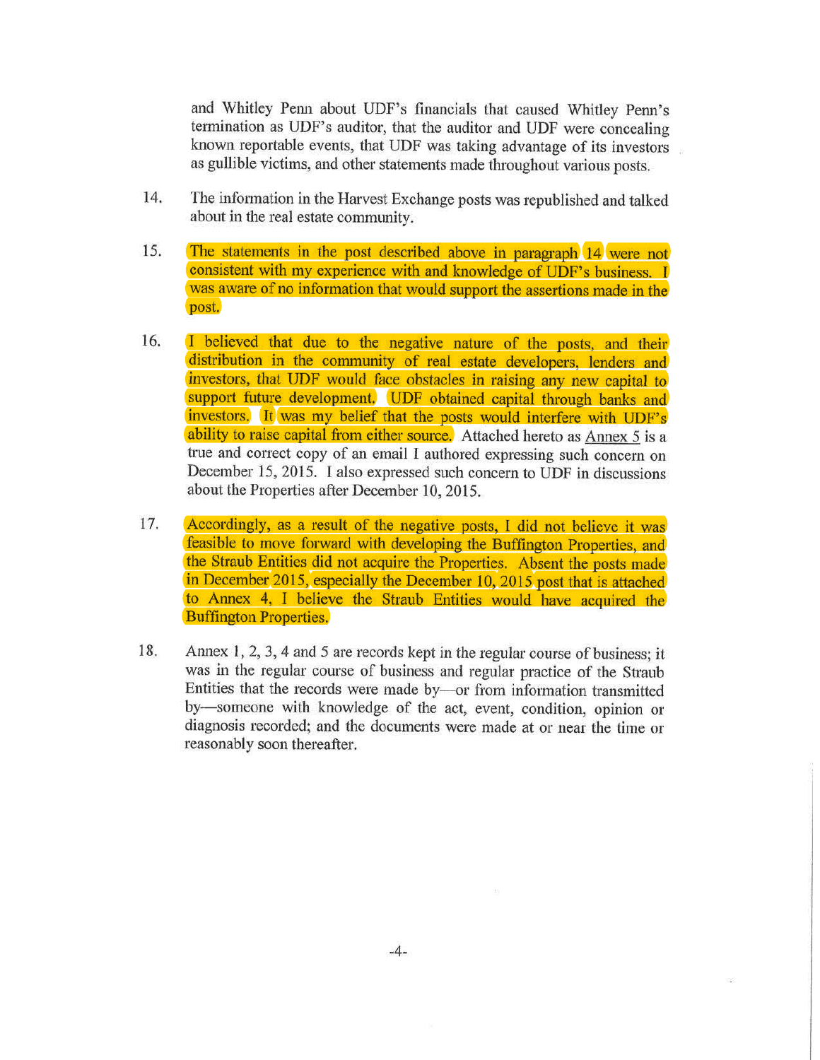and Whitley Penn about UDF's financials that caused Whitley Penn's termination as UDF's auditor, that the auditor and UDF were concealing known reportable events, that UDF was taking advantage of its investors as gullible victims, and other statements made throughout various posts.

- 14. The information in the Harvest Exchange posts was republished and talked about in the real estate community.
- 15. The statements in the post described above in paragraph 14 were not consistent with my experience with and knowledge of UDF's business. I was aware of no information that would support the assertions made in the post.
- 16. I believed that due to the negative nature of the posts, and their distribution in the community of real estate developers, lenders and investors, that UDF would face obstacles in raising any new capital to support future development. UDF obtained capital through banks and investors. It was my belief that the posts would interfere with UDF's ability to raise capital from either source. Attached hereto as Annex 5 is a true and correct copy of an email I authored expressing such concern on December 15, 2015. I also expressed such concern to UDF in discussions about the Properties after December 10, 2015.
- 17. Accordingly, as a result of the negative posts, I did not believe it was feasible to move forward with developing the Buffington Properties, and the Straub Entities did not acquire the Properties. Absent the posts made in December 2015, especially the December 10, 2015 post that is attached to Annex 4, I believe the Straub Entities would have acquired the Buffington Properties.
- 18. Annex 1, 2, 3, 4 and 5 are records kept in the regular course of business; it was in the regular course of business and regular practice of the Straub Entities that the records were made by-or from information transmitted by-someone with knowledge of the act, event, condition, opinion or diagnosis recorded; and the documents were made at or near the time or reasonably soon thereafter.

 $\overline{\Sigma}$